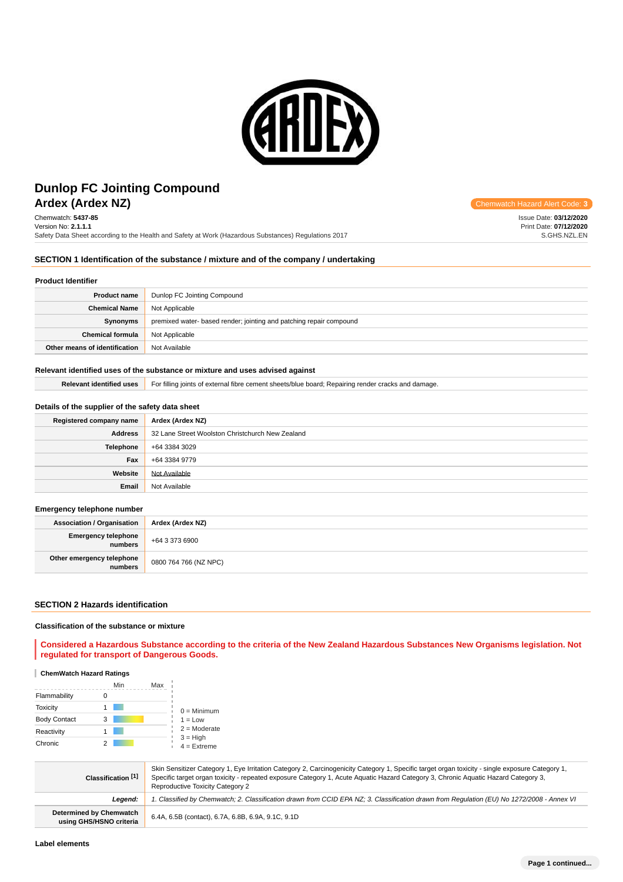

# **Ardex (Ardex NZ) Chemwatch Hazard Alert** Communication Controllering Communication Controllering Communication Controllering Controllering Controllering Controllering Controllering Controllering Controllering Controller **Dunlop FC Jointing Compound**

Chemwatch: **5437-85** Version No: **2.1.1.1** Safety Data Sheet according to the Health and Safety at Work (Hazardous Substances) Regulations 2017

Issue Date: **03/12/2020** Print Date: **07/12/2020** S.GHS.NZL.EN

## **SECTION 1 Identification of the substance / mixture and of the company / undertaking**

#### **Product Identifier**

| <b>Product name</b>           | Dunlop FC Jointing Compound                                         |  |
|-------------------------------|---------------------------------------------------------------------|--|
| <b>Chemical Name</b>          | Not Applicable                                                      |  |
| Synonyms                      | premixed water- based render; jointing and patching repair compound |  |
| <b>Chemical formula</b>       | Not Applicable                                                      |  |
| Other means of identification | Not Available                                                       |  |

#### **Relevant identified uses of the substance or mixture and uses advised against**

Relevant identified uses **For filling joints of external fibre cement sheets/blue board**; Repairing render cracks and damage.

## **Details of the supplier of the safety data sheet**

| Registered company name | Ardex (Ardex NZ)                                 |  |
|-------------------------|--------------------------------------------------|--|
| <b>Address</b>          | 32 Lane Street Woolston Christchurch New Zealand |  |
| <b>Telephone</b>        | +64 3384 3029                                    |  |
| Fax                     | +64 3384 9779                                    |  |
| Website                 | Not Available                                    |  |
| Email                   | Not Available                                    |  |

#### **Emergency telephone number**

| <b>Association / Organisation</b>    | Ardex (Ardex NZ)      |  |
|--------------------------------------|-----------------------|--|
| Emergency telephone<br>numbers       | +64 3 373 6900        |  |
| Other emergency telephone<br>numbers | 0800 764 766 (NZ NPC) |  |

#### **SECTION 2 Hazards identification**

#### **Classification of the substance or mixture**

**Considered a Hazardous Substance according to the criteria of the New Zealand Hazardous Substances New Organisms legislation. Not regulated for transport of Dangerous Goods.**

#### **ChemWatch Hazard Ratings**

|                     |   | Min | Max |                             |
|---------------------|---|-----|-----|-----------------------------|
| Flammability        |   |     |     |                             |
| <b>Toxicity</b>     |   |     |     | $0 =$ Minimum               |
| <b>Body Contact</b> | 3 |     |     | $1 = Low$                   |
| Reactivity          |   |     |     | $2 =$ Moderate              |
| Chronic             |   |     |     | $3 = High$<br>$4 =$ Extreme |

| Classification [1]                                        | Skin Sensitizer Category 1, Eye Irritation Category 2, Carcinogenicity Category 1, Specific target organ toxicity - single exposure Category 1,<br>Specific target organ toxicity - repeated exposure Category 1, Acute Aguatic Hazard Category 3, Chronic Aguatic Hazard Category 3,<br>Reproductive Toxicity Category 2 |  |  |
|-----------------------------------------------------------|---------------------------------------------------------------------------------------------------------------------------------------------------------------------------------------------------------------------------------------------------------------------------------------------------------------------------|--|--|
| Leaend:                                                   | 1. Classified by Chemwatch; 2. Classification drawn from CCID EPA NZ; 3. Classification drawn from Requlation (EU) No 1272/2008 - Annex VI                                                                                                                                                                                |  |  |
| <b>Determined by Chemwatch</b><br>using GHS/HSNO criteria | 6.4A, 6.5B (contact), 6.7A, 6.8B, 6.9A, 9.1C, 9.1D                                                                                                                                                                                                                                                                        |  |  |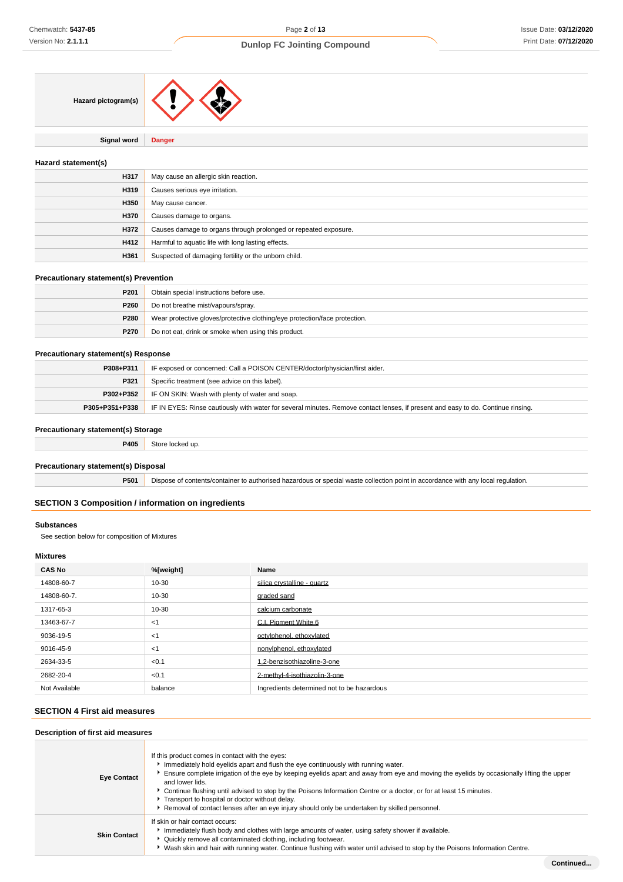| Hazard pictogram(s) |  |
|---------------------|--|
|                     |  |

**Signal word Danger**

#### **Hazard statement(s)**

| H317 | May cause an allergic skin reaction.                            |  |  |
|------|-----------------------------------------------------------------|--|--|
| H319 | Causes serious eye irritation.                                  |  |  |
| H350 | May cause cancer.                                               |  |  |
| H370 | Causes damage to organs.                                        |  |  |
| H372 | Causes damage to organs through prolonged or repeated exposure. |  |  |
| H412 | Harmful to aquatic life with long lasting effects.              |  |  |
| H361 | Suspected of damaging fertility or the unborn child.            |  |  |

#### **Precautionary statement(s) Prevention**

| P <sub>201</sub> | Obtain special instructions before use.                                    |  |  |
|------------------|----------------------------------------------------------------------------|--|--|
| P260             | Do not breathe mist/vapours/spray.                                         |  |  |
| P280             | Wear protective gloves/protective clothing/eye protection/face protection. |  |  |
| P270             | Do not eat, drink or smoke when using this product.                        |  |  |

## **Precautionary statement(s) Response**

| P308+P311      | IF exposed or concerned: Call a POISON CENTER/doctor/physician/first aider.                                                      |  |  |
|----------------|----------------------------------------------------------------------------------------------------------------------------------|--|--|
| P321           | Specific treatment (see advice on this label).                                                                                   |  |  |
|                | <b>P302+P352</b> IF ON SKIN: Wash with plenty of water and soap.                                                                 |  |  |
| P305+P351+P338 | IF IN EYES: Rinse cautiously with water for several minutes. Remove contact lenses, if present and easy to do. Continue rinsing. |  |  |

## **Precautionary statement(s) Storage**

| P405 |  |
|------|--|
|      |  |

#### **Precautionary statement(s) Disposal**

**P501** Dispose of contents/container to authorised hazardous or special waste collection point in accordance with any local regulation.

#### **SECTION 3 Composition / information on ingredients**

#### **Substances**

See section below for composition of Mixtures

## **Mixtures**

| <b>CAS No</b> | %[weight] | Name                                       |
|---------------|-----------|--------------------------------------------|
| 14808-60-7    | 10-30     | silica crystalline - quartz                |
| 14808-60-7.   | 10-30     | graded sand                                |
| 1317-65-3     | 10-30     | calcium carbonate                          |
| 13463-67-7    | $<$ 1     | C.I. Pigment White 6                       |
| 9036-19-5     | <1        | octylphenol, ethoxylated                   |
| 9016-45-9     | $<$ 1     | nonylphenol, ethoxylated                   |
| 2634-33-5     | < 0.1     | .2-benzisothiazoline-3-one                 |
| 2682-20-4     | < 0.1     | 2-methyl-4-isothiazolin-3-one              |
| Not Available | balance   | Ingredients determined not to be hazardous |

## **SECTION 4 First aid measures**

| Description of first aid measures |                                                                                                                                                                                                                                                                                                                                                                                                                                                                                                                                                                                   |
|-----------------------------------|-----------------------------------------------------------------------------------------------------------------------------------------------------------------------------------------------------------------------------------------------------------------------------------------------------------------------------------------------------------------------------------------------------------------------------------------------------------------------------------------------------------------------------------------------------------------------------------|
| <b>Eye Contact</b>                | If this product comes in contact with the eyes:<br>Immediately hold eyelids apart and flush the eye continuously with running water.<br>Ensure complete irrigation of the eye by keeping eyelids apart and away from eye and moving the eyelids by occasionally lifting the upper<br>and lower lids.<br>▶ Continue flushing until advised to stop by the Poisons Information Centre or a doctor, or for at least 15 minutes.<br>Transport to hospital or doctor without delay.<br>▶ Removal of contact lenses after an eye injury should only be undertaken by skilled personnel. |
| <b>Skin Contact</b>               | If skin or hair contact occurs:<br>Immediately flush body and clothes with large amounts of water, using safety shower if available.<br>• Quickly remove all contaminated clothing, including footwear.<br>▶ Wash skin and hair with running water. Continue flushing with water until advised to stop by the Poisons Information Centre.                                                                                                                                                                                                                                         |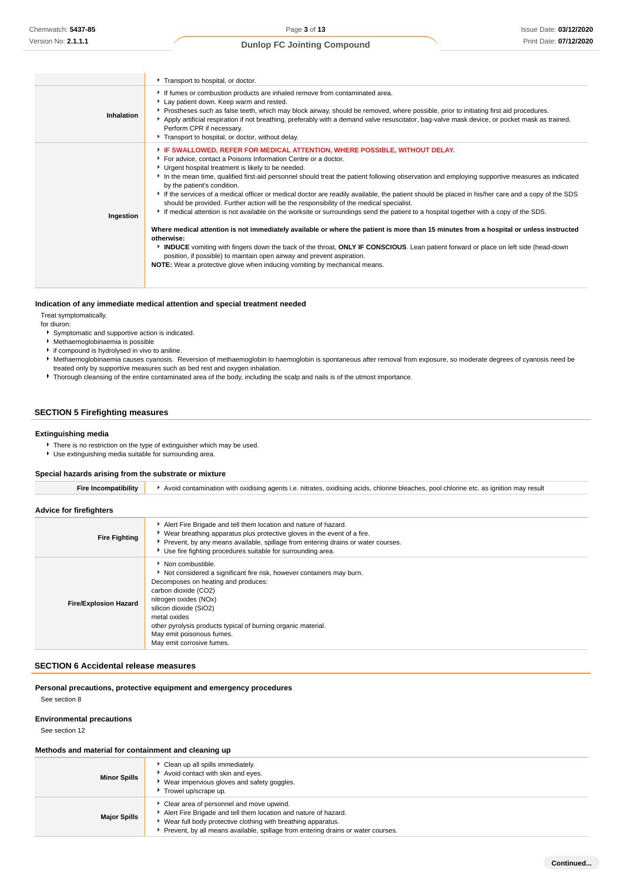|            | Transport to hospital, or doctor.                                                                                                                                                                                                                                                                                                                                                                                                                                                                                                                                                                                                                                                                                                                                                                                                                                                                                                                                                                                                                                                                                                                                                                                                      |
|------------|----------------------------------------------------------------------------------------------------------------------------------------------------------------------------------------------------------------------------------------------------------------------------------------------------------------------------------------------------------------------------------------------------------------------------------------------------------------------------------------------------------------------------------------------------------------------------------------------------------------------------------------------------------------------------------------------------------------------------------------------------------------------------------------------------------------------------------------------------------------------------------------------------------------------------------------------------------------------------------------------------------------------------------------------------------------------------------------------------------------------------------------------------------------------------------------------------------------------------------------|
| Inhalation | If fumes or combustion products are inhaled remove from contaminated area.<br>Lay patient down. Keep warm and rested.<br>Prostheses such as false teeth, which may block airway, should be removed, where possible, prior to initiating first aid procedures.<br>Apply artificial respiration if not breathing, preferably with a demand valve resuscitator, bag-valve mask device, or pocket mask as trained.<br>Perform CPR if necessary.<br>Transport to hospital, or doctor, without delay.                                                                                                                                                                                                                                                                                                                                                                                                                                                                                                                                                                                                                                                                                                                                        |
| Ingestion  | F IF SWALLOWED, REFER FOR MEDICAL ATTENTION, WHERE POSSIBLE, WITHOUT DELAY.<br>For advice, contact a Poisons Information Centre or a doctor.<br>Urgent hospital treatment is likely to be needed.<br>In the mean time, qualified first-aid personnel should treat the patient following observation and employing supportive measures as indicated<br>by the patient's condition.<br>If the services of a medical officer or medical doctor are readily available, the patient should be placed in his/her care and a copy of the SDS<br>should be provided. Further action will be the responsibility of the medical specialist.<br>If medical attention is not available on the worksite or surroundings send the patient to a hospital together with a copy of the SDS.<br>Where medical attention is not immediately available or where the patient is more than 15 minutes from a hospital or unless instructed<br>otherwise:<br>INDUCE vomiting with fingers down the back of the throat, ONLY IF CONSCIOUS. Lean patient forward or place on left side (head-down<br>position, if possible) to maintain open airway and prevent aspiration.<br><b>NOTE:</b> Wear a protective glove when inducing vomiting by mechanical means. |

## **Indication of any immediate medical attention and special treatment needed**

Treat symptomatically.

for diuron:

- ► Symptomatic and supportive action is indicated.
- Methaemoglobinaemia is possible
- if compound is hydrolysed in vivo to aniline.
- Methaemoglobinaemia causes cyanosis. Reversion of methaemoglobin to haemoglobin is spontaneous after removal from exposure, so moderate degrees of cyanosis need be treated only by supportive measures such as bed rest and oxygen inhalation.
- Thorough cleansing of the entire contaminated area of the body, including the scalp and nails is of the utmost importance.

## **SECTION 5 Firefighting measures**

## **Extinguishing media**

- **There is no restriction on the type of extinguisher which may be used.**
- Use extinguishing media suitable for surrounding area.

#### **Special hazards arising from the substrate or mixture**

| nitrates.<br>. oxidisina acids.<br>$\Delta$<br>≅oxidisina agents i.e. .<br>nool<br>. chlorine bleaches<br>I chlorine etc. as ign<br>contamination<br><b>HTIOL</b> | mav<br>result |
|-------------------------------------------------------------------------------------------------------------------------------------------------------------------|---------------|
|-------------------------------------------------------------------------------------------------------------------------------------------------------------------|---------------|

**Advice for firefighters**

| <b>Fire Fighting</b>         | Alert Fire Brigade and tell them location and nature of hazard.<br>► Wear breathing apparatus plus protective gloves in the event of a fire.<br>▶ Prevent, by any means available, spillage from entering drains or water courses.<br>Use fire fighting procedures suitable for surrounding area.                                                               |
|------------------------------|-----------------------------------------------------------------------------------------------------------------------------------------------------------------------------------------------------------------------------------------------------------------------------------------------------------------------------------------------------------------|
| <b>Fire/Explosion Hazard</b> | $\bullet$ Non combustible.<br>Not considered a significant fire risk, however containers may burn.<br>Decomposes on heating and produces:<br>carbon dioxide (CO2)<br>nitrogen oxides (NOx)<br>silicon dioxide (SiO2)<br>metal oxides<br>other pyrolysis products typical of burning organic material.<br>May emit poisonous fumes.<br>May emit corrosive fumes. |

#### **SECTION 6 Accidental release measures**

**Personal precautions, protective equipment and emergency procedures**

See section 8

#### **Environmental precautions**

See section 12

#### **Methods and material for containment and cleaning up**

| <b>Minor Spills</b> | Clean up all spills immediately.<br>Avoid contact with skin and eyes.<br>Wear impervious gloves and safety goggles.<br>Trowel up/scrape up.                                                                                                                     |
|---------------------|-----------------------------------------------------------------------------------------------------------------------------------------------------------------------------------------------------------------------------------------------------------------|
| <b>Major Spills</b> | Clear area of personnel and move upwind.<br>Alert Fire Brigade and tell them location and nature of hazard.<br>Wear full body protective clothing with breathing apparatus.<br>Prevent, by all means available, spillage from entering drains or water courses. |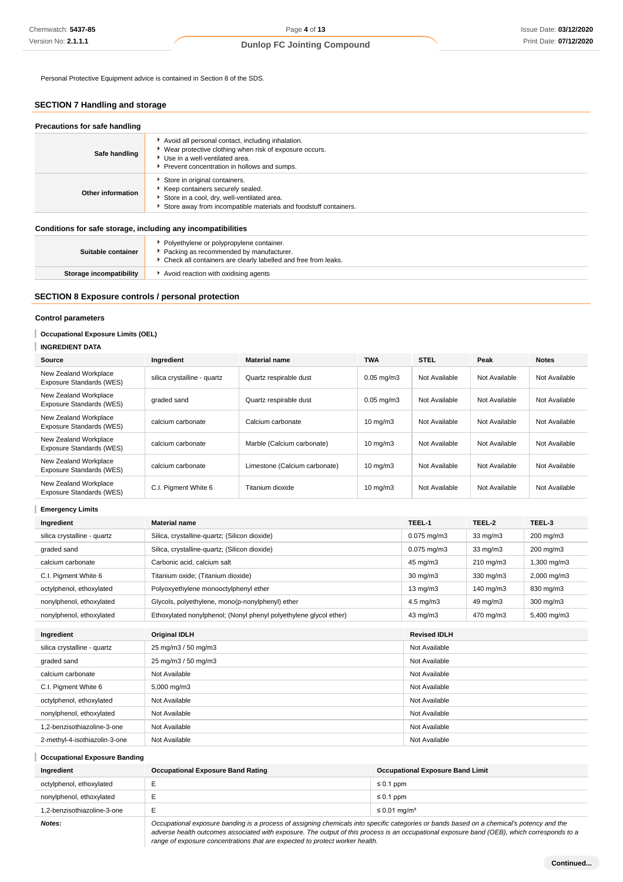Personal Protective Equipment advice is contained in Section 8 of the SDS.

## **SECTION 7 Handling and storage**

| Safe handling     | Avoid all personal contact, including inhalation.<br>▶ Wear protective clothing when risk of exposure occurs.<br>Use in a well-ventilated area.<br>Prevent concentration in hollows and sumps. |
|-------------------|------------------------------------------------------------------------------------------------------------------------------------------------------------------------------------------------|
| Other information | Store in original containers.<br>Keep containers securely sealed.<br>Store in a cool, dry, well-ventilated area.<br>Store away from incompatible materials and foodstuff containers.           |

#### **Conditions for safe storage, including any incompatibilities**

| Suitable container      | ▶ Polyethylene or polypropylene container.<br>Packing as recommended by manufacturer.<br>• Check all containers are clearly labelled and free from leaks. |
|-------------------------|-----------------------------------------------------------------------------------------------------------------------------------------------------------|
| Storage incompatibility | Avoid reaction with oxidising agents                                                                                                                      |

#### **SECTION 8 Exposure controls / personal protection**

#### **Control parameters**

**INGREDIENT DATA**

## **Occupational Exposure Limits (OEL)**

| Source                                            | Ingredient                  | <b>Material name</b>          | <b>TWA</b>        | <b>STEL</b>   | Peak          | <b>Notes</b>  |
|---------------------------------------------------|-----------------------------|-------------------------------|-------------------|---------------|---------------|---------------|
| New Zealand Workplace<br>Exposure Standards (WES) | silica crystalline - quartz | Quartz respirable dust        | $0.05$ mg/m $3$   | Not Available | Not Available | Not Available |
| New Zealand Workplace<br>Exposure Standards (WES) | graded sand                 | Quartz respirable dust        | $0.05$ mg/m $3$   | Not Available | Not Available | Not Available |
| New Zealand Workplace<br>Exposure Standards (WES) | calcium carbonate           | Calcium carbonate             | $10 \text{ mg/m}$ | Not Available | Not Available | Not Available |
| New Zealand Workplace<br>Exposure Standards (WES) | calcium carbonate           | Marble (Calcium carbonate)    | $10 \text{ mg/m}$ | Not Available | Not Available | Not Available |
| New Zealand Workplace<br>Exposure Standards (WES) | calcium carbonate           | Limestone (Calcium carbonate) | $10 \text{ mg/m}$ | Not Available | Not Available | Not Available |
| New Zealand Workplace<br>Exposure Standards (WES) | C.I. Pigment White 6        | Titanium dioxide              | $10 \text{ mg/m}$ | Not Available | Not Available | Not Available |

## **Emergency Limits**

| Ingredient                    | <b>Material name</b>                                                                   | TEEL-1               | TEEL-2            | TEEL-3      |
|-------------------------------|----------------------------------------------------------------------------------------|----------------------|-------------------|-------------|
| silica crystalline - quartz   | Silica, crystalline-quartz; (Silicon dioxide)                                          | $0.075$ mg/m $3$     | $33 \text{ mg/m}$ | 200 mg/m3   |
| graded sand                   | Silica, crystalline-quartz; (Silicon dioxide)<br>$0.075$ mg/m $3$<br>$33 \text{ mg/m}$ |                      |                   | 200 mg/m3   |
| calcium carbonate             | Carbonic acid, calcium salt                                                            | 45 mg/m3             | $210$ mg/m $3$    | 1,300 mg/m3 |
| C.I. Pigment White 6          | Titanium oxide; (Titanium dioxide)                                                     | 30 mg/m3             | 330 mg/m3         | 2,000 mg/m3 |
| octylphenol, ethoxylated      | Polyoxyethylene monooctylphenyl ether                                                  | $13 \text{ mg/m}$    | 140 mg/m3         | 830 mg/m3   |
| nonylphenol, ethoxylated      | Glycols, polyethylene, mono(p-nonylphenyl) ether                                       | $4.5 \text{ mg/m}$ 3 | 49 mg/m3          | 300 mg/m3   |
| nonylphenol, ethoxylated      | Ethoxylated nonylphenol; (Nonyl phenyl polyethylene glycol ether)                      | 43 mg/m3             | 470 mg/m3         | 5,400 mg/m3 |
|                               |                                                                                        |                      |                   |             |
| Ingredient                    | <b>Original IDLH</b>                                                                   | <b>Revised IDLH</b>  |                   |             |
| silica crystalline - quartz   | 25 mg/m3 / 50 mg/m3                                                                    | Not Available        |                   |             |
| graded sand                   | 25 mg/m3 / 50 mg/m3                                                                    | Not Available        |                   |             |
| calcium carbonate             | Not Available                                                                          | Not Available        |                   |             |
| C.I. Pigment White 6          | 5,000 mg/m3                                                                            | Not Available        |                   |             |
| octylphenol, ethoxylated      | Not Available                                                                          | Not Available        |                   |             |
| nonylphenol, ethoxylated      | Not Available                                                                          | Not Available        |                   |             |
| 1,2-benzisothiazoline-3-one   | Not Available                                                                          | Not Available        |                   |             |
| 2-methyl-4-isothiazolin-3-one | Not Available                                                                          | Not Available        |                   |             |

## **Occupational Exposure Banding**

| Ingredient                  | <b>Occupational Exposure Band Rating</b> | <b>Occupational Exposure Band Limit</b> |
|-----------------------------|------------------------------------------|-----------------------------------------|
| octylphenol, ethoxylated    |                                          | ≤ 0.1 ppm                               |
| nonylphenol, ethoxylated    |                                          | ≤ 0.1 ppm                               |
| 1,2-benzisothiazoline-3-one |                                          | ≤ 0.01 mg/m <sup>3</sup>                |

**Notes: Occupational exposure banding is a process of assigning chemicals into specific categories or bands based on a chemical's potency and the <b>Notes**: adverse health outcomes associated with exposure. The output of this process is an occupational exposure band (OEB), which corresponds to a range of exposure concentrations that are expected to protect worker health.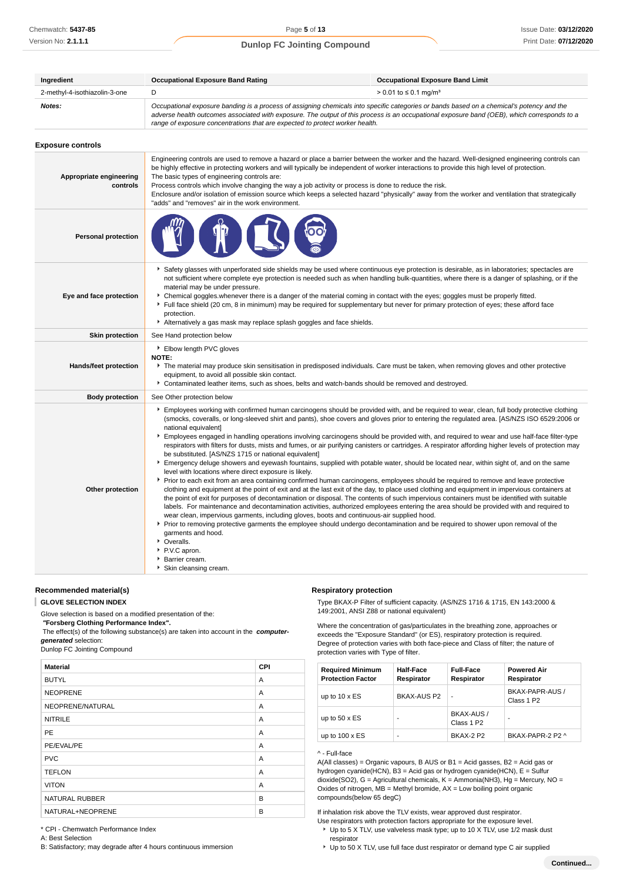| Ingredient                    | <b>Occupational Exposure Band Rating</b><br><b>Occupational Exposure Band Limit</b>                                                                                                                                                                                                                                                                                      |                                   |  |
|-------------------------------|--------------------------------------------------------------------------------------------------------------------------------------------------------------------------------------------------------------------------------------------------------------------------------------------------------------------------------------------------------------------------|-----------------------------------|--|
| 2-methyl-4-isothiazolin-3-one |                                                                                                                                                                                                                                                                                                                                                                          | > 0.01 to ≤ 0.1 mg/m <sup>3</sup> |  |
| Notes:                        | Occupational exposure banding is a process of assigning chemicals into specific categories or bands based on a chemical's potency and the<br>adverse health outcomes associated with exposure. The output of this process is an occupational exposure band (OEB), which corresponds to a<br>range of exposure concentrations that are expected to protect worker health. |                                   |  |

| <b>Exposure controls</b> |  |
|--------------------------|--|
|--------------------------|--|

| Appropriate engineering<br>controls | Engineering controls are used to remove a hazard or place a barrier between the worker and the hazard. Well-designed engineering controls can<br>be highly effective in protecting workers and will typically be independent of worker interactions to provide this high level of protection.<br>The basic types of engineering controls are:<br>Process controls which involve changing the way a job activity or process is done to reduce the risk.<br>Enclosure and/or isolation of emission source which keeps a selected hazard "physically" away from the worker and ventilation that strategically<br>"adds" and "removes" air in the work environment.                                                                                                                                                                                                                                                                                                                                                                                                                                                                                                                                                                                                                                                                                                                                                                                                                                                                                                                                                                                                                                                                                                                                          |
|-------------------------------------|----------------------------------------------------------------------------------------------------------------------------------------------------------------------------------------------------------------------------------------------------------------------------------------------------------------------------------------------------------------------------------------------------------------------------------------------------------------------------------------------------------------------------------------------------------------------------------------------------------------------------------------------------------------------------------------------------------------------------------------------------------------------------------------------------------------------------------------------------------------------------------------------------------------------------------------------------------------------------------------------------------------------------------------------------------------------------------------------------------------------------------------------------------------------------------------------------------------------------------------------------------------------------------------------------------------------------------------------------------------------------------------------------------------------------------------------------------------------------------------------------------------------------------------------------------------------------------------------------------------------------------------------------------------------------------------------------------------------------------------------------------------------------------------------------------|
| <b>Personal protection</b>          |                                                                                                                                                                                                                                                                                                                                                                                                                                                                                                                                                                                                                                                                                                                                                                                                                                                                                                                                                                                                                                                                                                                                                                                                                                                                                                                                                                                                                                                                                                                                                                                                                                                                                                                                                                                                          |
| Eye and face protection             | Safety glasses with unperforated side shields may be used where continuous eye protection is desirable, as in laboratories; spectacles are<br>not sufficient where complete eye protection is needed such as when handling bulk-quantities, where there is a danger of splashing, or if the<br>material may be under pressure.<br>• Chemical goggles whenever there is a danger of the material coming in contact with the eyes; goggles must be properly fitted.<br>Full face shield (20 cm, 8 in minimum) may be required for supplementary but never for primary protection of eyes; these afford face<br>protection.<br>Alternatively a gas mask may replace splash goggles and face shields.                                                                                                                                                                                                                                                                                                                                                                                                                                                                                                                                                                                                                                                                                                                                                                                                                                                                                                                                                                                                                                                                                                        |
| <b>Skin protection</b>              | See Hand protection below                                                                                                                                                                                                                                                                                                                                                                                                                                                                                                                                                                                                                                                                                                                                                                                                                                                                                                                                                                                                                                                                                                                                                                                                                                                                                                                                                                                                                                                                                                                                                                                                                                                                                                                                                                                |
| Hands/feet protection               | ▶ Elbow length PVC gloves<br>NOTE:<br>The material may produce skin sensitisation in predisposed individuals. Care must be taken, when removing gloves and other protective<br>equipment, to avoid all possible skin contact.<br>Contaminated leather items, such as shoes, belts and watch-bands should be removed and destroyed.                                                                                                                                                                                                                                                                                                                                                                                                                                                                                                                                                                                                                                                                                                                                                                                                                                                                                                                                                                                                                                                                                                                                                                                                                                                                                                                                                                                                                                                                       |
| <b>Body protection</b>              | See Other protection below                                                                                                                                                                                                                                                                                                                                                                                                                                                                                                                                                                                                                                                                                                                                                                                                                                                                                                                                                                                                                                                                                                                                                                                                                                                                                                                                                                                                                                                                                                                                                                                                                                                                                                                                                                               |
| Other protection                    | Employees working with confirmed human carcinogens should be provided with, and be required to wear, clean, full body protective clothing<br>(smocks, coveralls, or long-sleeved shirt and pants), shoe covers and gloves prior to entering the regulated area. [AS/NZS ISO 6529:2006 or<br>national equivalent]<br>Employees engaged in handling operations involving carcinogens should be provided with, and required to wear and use half-face filter-type<br>respirators with filters for dusts, mists and fumes, or air purifying canisters or cartridges. A respirator affording higher levels of protection may<br>be substituted. [AS/NZS 1715 or national equivalent]<br>Emergency deluge showers and eyewash fountains, supplied with potable water, should be located near, within sight of, and on the same<br>level with locations where direct exposure is likely.<br>▶ Prior to each exit from an area containing confirmed human carcinogens, employees should be required to remove and leave protective<br>clothing and equipment at the point of exit and at the last exit of the day, to place used clothing and equipment in impervious containers at<br>the point of exit for purposes of decontamination or disposal. The contents of such impervious containers must be identified with suitable<br>labels. For maintenance and decontamination activities, authorized employees entering the area should be provided with and required to<br>wear clean, impervious garments, including gloves, boots and continuous-air supplied hood.<br>▶ Prior to removing protective garments the employee should undergo decontamination and be required to shower upon removal of the<br>garments and hood.<br>• Overalls.<br>P.V.C apron.<br>Barrier cream.<br>▶ Skin cleansing cream. |

**Recommended material(s)**

**GLOVE SELECTION INDEX**

Glove selection is based on a modified presentation of the:

 **"Forsberg Clothing Performance Index".** The effect(s) of the following substance(s) are taken into account in the **computer-**

**generated** selection:

Dunlop FC Jointing Compound

| <b>Material</b>       | CPI |
|-----------------------|-----|
| <b>BUTYL</b>          | A   |
| <b>NEOPRENE</b>       | A   |
| NEOPRENE/NATURAL      | A   |
| <b>NITRILE</b>        | A   |
| <b>PE</b>             | A   |
| PE/EVAL/PE            | A   |
| <b>PVC</b>            | A   |
| <b>TEFLON</b>         | A   |
| <b>VITON</b>          | A   |
| <b>NATURAL RUBBER</b> | B   |
| NATURAL+NEOPRENE      | B   |

#### **Respiratory protection**

Type BKAX-P Filter of sufficient capacity. (AS/NZS 1716 & 1715, EN 143:2000 & 149:2001, ANSI Z88 or national equivalent)

Where the concentration of gas/particulates in the breathing zone, approaches or exceeds the "Exposure Standard" (or ES), respiratory protection is required. Degree of protection varies with both face-piece and Class of filter; the nature of protection varies with Type of filter.

| <b>Required Minimum</b><br><b>Protection Factor</b> | <b>Half-Face</b><br>Respirator | <b>Full-Face</b><br>Respirator | <b>Powered Air</b><br>Respirator          |
|-----------------------------------------------------|--------------------------------|--------------------------------|-------------------------------------------|
| up to $10 \times ES$                                | BKAX-AUS P2                    | ٠                              | BKAX-PAPR-AUS /<br>Class 1 P <sub>2</sub> |
| up to $50 \times ES$                                |                                | BKAX-AUS /<br>Class 1 P2       | ۰                                         |
| up to $100 \times ES$                               |                                | <b>BKAX-2 P2</b>               | BKAX-PAPR-2 P2 ^                          |

#### ^ - Full-face

A(All classes) = Organic vapours, B AUS or B1 = Acid gasses, B2 = Acid gas or hydrogen cyanide(HCN), B3 = Acid gas or hydrogen cyanide(HCN), E = Sulfur dioxide(SO2), G = Agricultural chemicals, K = Ammonia(NH3), Hg = Mercury, NO = Oxides of nitrogen,  $MB =$  Methyl bromide,  $AX =$  Low boiling point organic compounds(below 65 degC)

If inhalation risk above the TLV exists, wear approved dust respirator.

- Use respirators with protection factors appropriate for the exposure level.
- ▶ Up to 5 X TLV, use valveless mask type; up to 10 X TLV, use 1/2 mask dust respirator
- Up to 50 X TLV, use full face dust respirator or demand type C air supplied

\* CPI - Chemwatch Performance Index A: Best Selection

B: Satisfactory; may degrade after 4 hours continuous immersion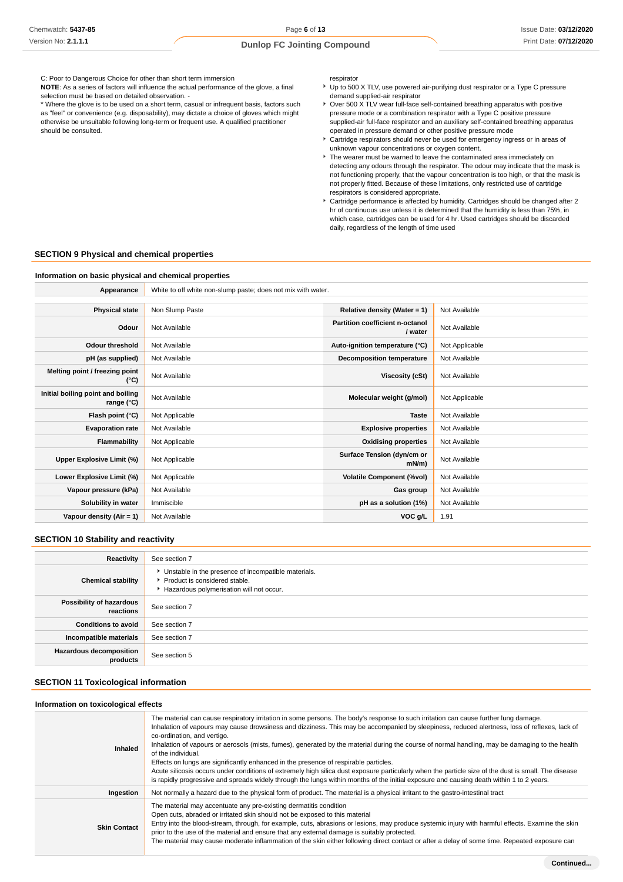C: Poor to Dangerous Choice for other than short term immersion

**NOTE**: As a series of factors will influence the actual performance of the glove, a final selection must be based on detailed observation. -

\* Where the glove is to be used on a short term, casual or infrequent basis, factors such as "feel" or convenience (e.g. disposability), may dictate a choice of gloves which might otherwise be unsuitable following long-term or frequent use. A qualified practitioner should be consulted.

respirator

- Up to 500 X TLV, use powered air-purifying dust respirator or a Type C pressure demand supplied-air respirator
- ▶ Over 500 X TLV wear full-face self-contained breathing apparatus with positive pressure mode or a combination respirator with a Type C positive pressure supplied-air full-face respirator and an auxiliary self-contained breathing apparatus operated in pressure demand or other positive pressure mode
- Cartridge respirators should never be used for emergency ingress or in areas of unknown vapour concentrations or oxygen content.
- The wearer must be warned to leave the contaminated area immediately on detecting any odours through the respirator. The odour may indicate that the mask is not functioning properly, that the vapour concentration is too high, or that the mask is not properly fitted. Because of these limitations, only restricted use of cartridge respirators is considered appropriate.
- Cartridge performance is affected by humidity. Cartridges should be changed after 2 hr of continuous use unless it is determined that the humidity is less than 75%, in which case, cartridges can be used for 4 hr. Used cartridges should be discarded daily, regardless of the length of time used

#### **SECTION 9 Physical and chemical properties**

#### **Information on basic physical and chemical properties**

Appearance **White to off white non-slump paste; does not mix with water.** 

| <b>Physical state</b>                           | Non Slump Paste | Relative density (Water = $1$ )                   | Not Available  |
|-------------------------------------------------|-----------------|---------------------------------------------------|----------------|
| Odour                                           | Not Available   | <b>Partition coefficient n-octanol</b><br>/ water | Not Available  |
| <b>Odour threshold</b>                          | Not Available   | Auto-ignition temperature (°C)                    | Not Applicable |
| pH (as supplied)                                | Not Available   | Decomposition temperature                         | Not Available  |
| Melting point / freezing point<br>(°C)          | Not Available   | Viscosity (cSt)                                   | Not Available  |
| Initial boiling point and boiling<br>range (°C) | Not Available   | Molecular weight (g/mol)                          | Not Applicable |
| Flash point (°C)                                | Not Applicable  | <b>Taste</b>                                      | Not Available  |
| <b>Evaporation rate</b>                         | Not Available   | <b>Explosive properties</b>                       | Not Available  |
| Flammability                                    | Not Applicable  | <b>Oxidising properties</b><br>Not Available      |                |
| Upper Explosive Limit (%)                       | Not Applicable  | Surface Tension (dyn/cm or<br>$mN/m$ )            | Not Available  |
| Lower Explosive Limit (%)                       | Not Applicable  | <b>Volatile Component (%vol)</b>                  | Not Available  |
| Vapour pressure (kPa)                           | Not Available   | Gas group                                         | Not Available  |
| Solubility in water                             | Immiscible      | pH as a solution (1%)                             | Not Available  |
| Vapour density (Air = 1)                        | Not Available   | VOC g/L                                           | 1.91           |

#### **SECTION 10 Stability and reactivity**

| Reactivity                                 | See section 7                                                                                                                      |
|--------------------------------------------|------------------------------------------------------------------------------------------------------------------------------------|
| <b>Chemical stability</b>                  | • Unstable in the presence of incompatible materials.<br>Product is considered stable.<br>Hazardous polymerisation will not occur. |
| Possibility of hazardous<br>reactions      | See section 7                                                                                                                      |
| <b>Conditions to avoid</b>                 | See section 7                                                                                                                      |
| Incompatible materials                     | See section 7                                                                                                                      |
| <b>Hazardous decomposition</b><br>products | See section 5                                                                                                                      |

#### **SECTION 11 Toxicological information**

| Information on toxicological effects |                                                                                                                                                                                                                                                                                                                                                                                                                                                                                                                                                                                                                                                                                                                                                                                                                                                                                           |
|--------------------------------------|-------------------------------------------------------------------------------------------------------------------------------------------------------------------------------------------------------------------------------------------------------------------------------------------------------------------------------------------------------------------------------------------------------------------------------------------------------------------------------------------------------------------------------------------------------------------------------------------------------------------------------------------------------------------------------------------------------------------------------------------------------------------------------------------------------------------------------------------------------------------------------------------|
| Inhaled                              | The material can cause respiratory irritation in some persons. The body's response to such irritation can cause further lung damage.<br>Inhalation of vapours may cause drowsiness and dizziness. This may be accompanied by sleepiness, reduced alertness, loss of reflexes, lack of<br>co-ordination, and vertigo.<br>Inhalation of vapours or aerosols (mists, fumes), generated by the material during the course of normal handling, may be damaging to the health<br>of the individual.<br>Effects on lungs are significantly enhanced in the presence of respirable particles.<br>Acute silicosis occurs under conditions of extremely high silica dust exposure particularly when the particle size of the dust is small. The disease<br>is rapidly progressive and spreads widely through the lungs within months of the initial exposure and causing death within 1 to 2 years. |
| Ingestion                            | Not normally a hazard due to the physical form of product. The material is a physical irritant to the gastro-intestinal tract                                                                                                                                                                                                                                                                                                                                                                                                                                                                                                                                                                                                                                                                                                                                                             |
| <b>Skin Contact</b>                  | The material may accentuate any pre-existing dermatitis condition<br>Open cuts, abraded or irritated skin should not be exposed to this material<br>Entry into the blood-stream, through, for example, cuts, abrasions or lesions, may produce systemic injury with harmful effects. Examine the skin<br>prior to the use of the material and ensure that any external damage is suitably protected.<br>The material may cause moderate inflammation of the skin either following direct contact or after a delay of some time. Repeated exposure can                                                                                                                                                                                                                                                                                                                                     |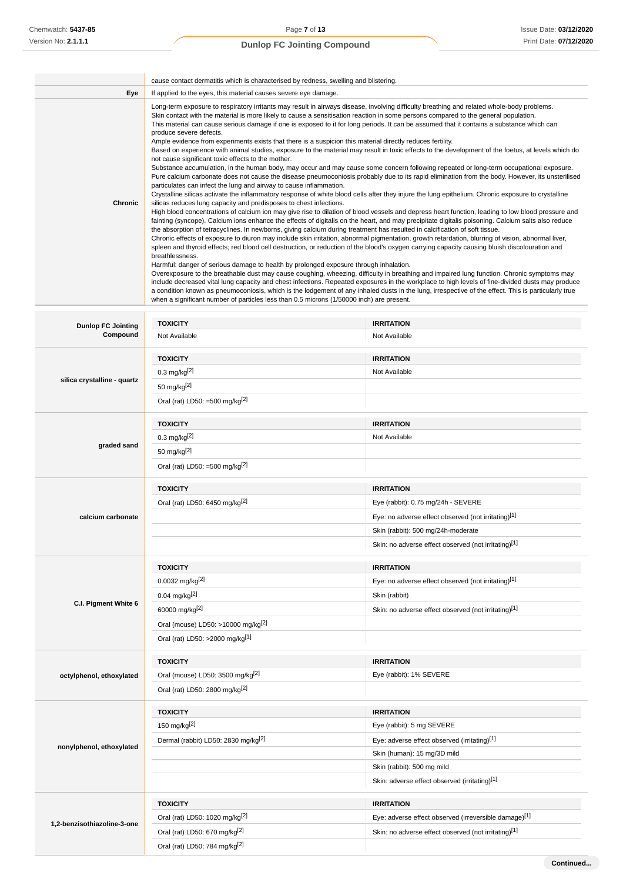|         | cause contact dermatitis which is characterised by redness, swelling and blistering.                                                                                                                                                                                                                                                                                                                                                                                                                                                                                                                                                                                                                                                                                                                                                                                                                                                                                                                                                                                                                                                                                                                                                                                                                                                                                                                                                                                                                                                                                                                                                                                                                                                                                                                                                                                                                                                                                                                                                                                                                                                                                                                                                                                                                                                                                                                                                                                                                                                                                                                                                                                                                                                                                                                 |
|---------|------------------------------------------------------------------------------------------------------------------------------------------------------------------------------------------------------------------------------------------------------------------------------------------------------------------------------------------------------------------------------------------------------------------------------------------------------------------------------------------------------------------------------------------------------------------------------------------------------------------------------------------------------------------------------------------------------------------------------------------------------------------------------------------------------------------------------------------------------------------------------------------------------------------------------------------------------------------------------------------------------------------------------------------------------------------------------------------------------------------------------------------------------------------------------------------------------------------------------------------------------------------------------------------------------------------------------------------------------------------------------------------------------------------------------------------------------------------------------------------------------------------------------------------------------------------------------------------------------------------------------------------------------------------------------------------------------------------------------------------------------------------------------------------------------------------------------------------------------------------------------------------------------------------------------------------------------------------------------------------------------------------------------------------------------------------------------------------------------------------------------------------------------------------------------------------------------------------------------------------------------------------------------------------------------------------------------------------------------------------------------------------------------------------------------------------------------------------------------------------------------------------------------------------------------------------------------------------------------------------------------------------------------------------------------------------------------------------------------------------------------------------------------------------------------|
| Eye     | If applied to the eyes, this material causes severe eye damage.                                                                                                                                                                                                                                                                                                                                                                                                                                                                                                                                                                                                                                                                                                                                                                                                                                                                                                                                                                                                                                                                                                                                                                                                                                                                                                                                                                                                                                                                                                                                                                                                                                                                                                                                                                                                                                                                                                                                                                                                                                                                                                                                                                                                                                                                                                                                                                                                                                                                                                                                                                                                                                                                                                                                      |
| Chronic | Long-term exposure to respiratory irritants may result in airways disease, involving difficulty breathing and related whole-body problems.<br>Skin contact with the material is more likely to cause a sensitisation reaction in some persons compared to the general population.<br>This material can cause serious damage if one is exposed to it for long periods. It can be assumed that it contains a substance which can<br>produce severe defects.<br>Ample evidence from experiments exists that there is a suspicion this material directly reduces fertility.<br>Based on experience with animal studies, exposure to the material may result in toxic effects to the development of the foetus, at levels which do<br>not cause significant toxic effects to the mother.<br>Substance accumulation, in the human body, may occur and may cause some concern following repeated or long-term occupational exposure.<br>Pure calcium carbonate does not cause the disease pneumoconiosis probably due to its rapid elimination from the body. However, its unsterilised<br>particulates can infect the lung and airway to cause inflammation.<br>Crystalline silicas activate the inflammatory response of white blood cells after they injure the lung epithelium. Chronic exposure to crystalline<br>silicas reduces lung capacity and predisposes to chest infections.<br>High blood concentrations of calcium ion may give rise to dilation of blood vessels and depress heart function, leading to low blood pressure and<br>fainting (syncope). Calcium ions enhance the effects of digitalis on the heart, and may precipitate digitalis poisoning. Calcium salts also reduce<br>the absorption of tetracyclines. In newborns, giving calcium during treatment has resulted in calcification of soft tissue.<br>Chronic effects of exposure to diuron may include skin irritation, abnormal pigmentation, growth retardation, blurring of vision, abnormal liver,<br>spleen and thyroid effects; red blood cell destruction, or reduction of the blood's oxygen carrying capacity causing bluish discolouration and<br>breathlessness.<br>Harmful: danger of serious damage to health by prolonged exposure through inhalation.<br>Overexposure to the breathable dust may cause coughing, wheezing, difficulty in breathing and impaired lung function. Chronic symptoms may<br>include decreased vital lung capacity and chest infections. Repeated exposures in the workplace to high levels of fine-divided dusts may produce<br>a condition known as pneumoconiosis, which is the lodgement of any inhaled dusts in the lung, irrespective of the effect. This is particularly true<br>when a significant number of particles less than 0.5 microns (1/50000 inch) are present. |

| <b>Dunlop FC Jointing</b>   | <b>TOXICITY</b>                                 | <b>IRRITATION</b>                                     |
|-----------------------------|-------------------------------------------------|-------------------------------------------------------|
| Compound                    | Not Available                                   | Not Available                                         |
|                             | <b>TOXICITY</b>                                 | <b>IRRITATION</b>                                     |
|                             | $0.3 \text{ mg/kg}^{[2]}$                       | Not Available                                         |
| silica crystalline - quartz | 50 mg/kg[2]                                     |                                                       |
|                             | Oral (rat) LD50: =500 mg/kg $^{[2]}$            |                                                       |
|                             | <b>TOXICITY</b>                                 | <b>IRRITATION</b>                                     |
|                             | $0.3$ mg/kg $^{[2]}$                            | Not Available                                         |
| graded sand                 | 50 mg/kg[2]                                     |                                                       |
|                             | Oral (rat) LD50: =500 mg/kg $^{[2]}$            |                                                       |
|                             | <b>TOXICITY</b>                                 | <b>IRRITATION</b>                                     |
|                             | Oral (rat) LD50: 6450 mg/kg <sup>[2]</sup>      | Eye (rabbit): 0.75 mg/24h - SEVERE                    |
| calcium carbonate           |                                                 | Eye: no adverse effect observed (not irritating)[1]   |
|                             |                                                 | Skin (rabbit): 500 mg/24h-moderate                    |
|                             |                                                 | Skin: no adverse effect observed (not irritating)[1]  |
|                             | <b>TOXICITY</b>                                 | <b>IRRITATION</b>                                     |
|                             | 0.0032 mg/kg <sup>[2]</sup>                     | Eye: no adverse effect observed (not irritating)[1]   |
|                             | $0.04$ mg/kg <sup>[2]</sup>                     | Skin (rabbit)                                         |
| C.I. Pigment White 6        | 60000 mg/kg[2]                                  | Skin: no adverse effect observed (not irritating)[1]  |
|                             | Oral (mouse) LD50: >10000 mg/kg <sup>[2]</sup>  |                                                       |
|                             | Oral (rat) LD50: >2000 mg/kg[1]                 |                                                       |
|                             | <b>TOXICITY</b>                                 | <b>IRRITATION</b>                                     |
| octylphenol, ethoxylated    | Oral (mouse) LD50: 3500 mg/kg <sup>[2]</sup>    | Eye (rabbit): 1% SEVERE                               |
|                             | Oral (rat) LD50: 2800 mg/kg[2]                  |                                                       |
|                             | <b>TOXICITY</b>                                 | <b>IRRITATION</b>                                     |
|                             | 150 mg/kg[2]                                    | Eye (rabbit): 5 mg SEVERE                             |
|                             | Dermal (rabbit) LD50: 2830 mg/kg <sup>[2]</sup> | Eye: adverse effect observed (irritating)[1]          |
| nonylphenol, ethoxylated    |                                                 | Skin (human): 15 mg/3D mild                           |
|                             |                                                 | Skin (rabbit): 500 mg mild                            |
|                             |                                                 | Skin: adverse effect observed (irritating)[1]         |
|                             |                                                 |                                                       |
|                             | <b>TOXICITY</b>                                 | <b>IRRITATION</b>                                     |
|                             | Oral (rat) LD50: 1020 mg/kg <sup>[2]</sup>      | Eye: adverse effect observed (irreversible damage)[1] |
| 1,2-benzisothiazoline-3-one | Oral (rat) LD50: 670 mg/kg <sup>[2]</sup>       | Skin: no adverse effect observed (not irritating)[1]  |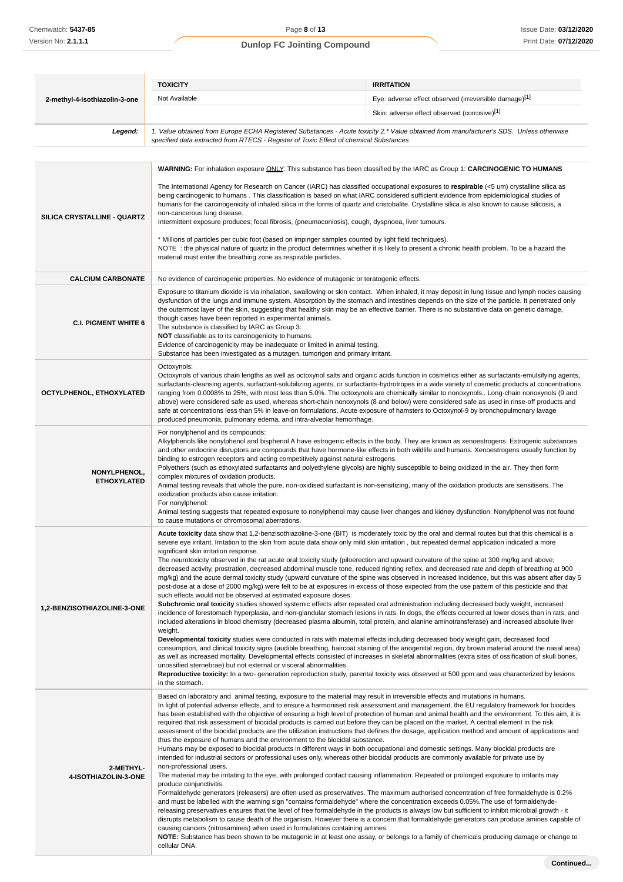|                                           | <b>TOXICITY</b>                                                                                                                                                                                                                                                                                                                                                                                                                                                                                                                                                                                                                                                                                                                                                                                                                                                                                                                                                                                                                                                                                                                                                                                                                                                                                                                                                                                                                                                                                                                                                                                                                                                                                                                                                                                                                                                                                                                                                                                                                                                                                                                                      | <b>IRRITATION</b>                            |  |
|-------------------------------------------|------------------------------------------------------------------------------------------------------------------------------------------------------------------------------------------------------------------------------------------------------------------------------------------------------------------------------------------------------------------------------------------------------------------------------------------------------------------------------------------------------------------------------------------------------------------------------------------------------------------------------------------------------------------------------------------------------------------------------------------------------------------------------------------------------------------------------------------------------------------------------------------------------------------------------------------------------------------------------------------------------------------------------------------------------------------------------------------------------------------------------------------------------------------------------------------------------------------------------------------------------------------------------------------------------------------------------------------------------------------------------------------------------------------------------------------------------------------------------------------------------------------------------------------------------------------------------------------------------------------------------------------------------------------------------------------------------------------------------------------------------------------------------------------------------------------------------------------------------------------------------------------------------------------------------------------------------------------------------------------------------------------------------------------------------------------------------------------------------------------------------------------------------|----------------------------------------------|--|
| 2-methyl-4-isothiazolin-3-one             | Eye: adverse effect observed (irreversible damage)[1]<br>Not Available                                                                                                                                                                                                                                                                                                                                                                                                                                                                                                                                                                                                                                                                                                                                                                                                                                                                                                                                                                                                                                                                                                                                                                                                                                                                                                                                                                                                                                                                                                                                                                                                                                                                                                                                                                                                                                                                                                                                                                                                                                                                               |                                              |  |
|                                           |                                                                                                                                                                                                                                                                                                                                                                                                                                                                                                                                                                                                                                                                                                                                                                                                                                                                                                                                                                                                                                                                                                                                                                                                                                                                                                                                                                                                                                                                                                                                                                                                                                                                                                                                                                                                                                                                                                                                                                                                                                                                                                                                                      | Skin: adverse effect observed (corrosive)[1] |  |
| Legend:                                   | 1. Value obtained from Europe ECHA Registered Substances - Acute toxicity 2.* Value obtained from manufacturer's SDS. Unless otherwise<br>specified data extracted from RTECS - Register of Toxic Effect of chemical Substances                                                                                                                                                                                                                                                                                                                                                                                                                                                                                                                                                                                                                                                                                                                                                                                                                                                                                                                                                                                                                                                                                                                                                                                                                                                                                                                                                                                                                                                                                                                                                                                                                                                                                                                                                                                                                                                                                                                      |                                              |  |
|                                           |                                                                                                                                                                                                                                                                                                                                                                                                                                                                                                                                                                                                                                                                                                                                                                                                                                                                                                                                                                                                                                                                                                                                                                                                                                                                                                                                                                                                                                                                                                                                                                                                                                                                                                                                                                                                                                                                                                                                                                                                                                                                                                                                                      |                                              |  |
| <b>SILICA CRYSTALLINE - QUARTZ</b>        | WARNING: For inhalation exposure ONLY: This substance has been classified by the IARC as Group 1: CARCINOGENIC TO HUMANS<br>The International Agency for Research on Cancer (IARC) has classified occupational exposures to respirable $\leq$ um) crystalline silica as<br>being carcinogenic to humans. This classification is based on what IARC considered sufficient evidence from epidemiological studies of<br>humans for the carcinogenicity of inhaled silica in the forms of quartz and cristobalite. Crystalline silica is also known to cause silicosis, a<br>non-cancerous lung disease.<br>Intermittent exposure produces; focal fibrosis, (pneumoconiosis), cough, dyspnoea, liver tumours.<br>* Millions of particles per cubic foot (based on impinger samples counted by light field techniques).<br>NOTE: the physical nature of quartz in the product determines whether it is likely to present a chronic health problem. To be a hazard the<br>material must enter the breathing zone as respirable particles.                                                                                                                                                                                                                                                                                                                                                                                                                                                                                                                                                                                                                                                                                                                                                                                                                                                                                                                                                                                                                                                                                                                  |                                              |  |
| <b>CALCIUM CARBONATE</b>                  | No evidence of carcinogenic properties. No evidence of mutagenic or teratogenic effects.                                                                                                                                                                                                                                                                                                                                                                                                                                                                                                                                                                                                                                                                                                                                                                                                                                                                                                                                                                                                                                                                                                                                                                                                                                                                                                                                                                                                                                                                                                                                                                                                                                                                                                                                                                                                                                                                                                                                                                                                                                                             |                                              |  |
| <b>C.I. PIGMENT WHITE 6</b>               | Exposure to titanium dioxide is via inhalation, swallowing or skin contact. When inhaled, it may deposit in lung tissue and lymph nodes causing<br>dysfunction of the lungs and immune system. Absorption by the stomach and intestines depends on the size of the particle. It penetrated only<br>the outermost layer of the skin, suggesting that healthy skin may be an effective barrier. There is no substantive data on genetic damage,<br>though cases have been reported in experimental animals.<br>The substance is classified by IARC as Group 3:<br>NOT classifiable as to its carcinogenicity to humans.<br>Evidence of carcinogenicity may be inadequate or limited in animal testing.<br>Substance has been investigated as a mutagen, tumorigen and primary irritant.                                                                                                                                                                                                                                                                                                                                                                                                                                                                                                                                                                                                                                                                                                                                                                                                                                                                                                                                                                                                                                                                                                                                                                                                                                                                                                                                                                |                                              |  |
| OCTYLPHENOL, ETHOXYLATED                  | Octoxynols:<br>Octoxynols of various chain lengths as well as octoxynol salts and organic acids function in cosmetics either as surfactants-emulsifying agents,<br>surfactants-cleansing agents, surfactant-solubilizing agents, or surfactants-hydrotropes in a wide variety of cosmetic products at concentrations<br>ranging from 0.0008% to 25%, with most less than 5.0%. The octoxynols are chemically similar to nonoxynols Long-chain nonoxynols (9 and<br>above) were considered safe as used, whereas short-chain nonoxynols (8 and below) were considered safe as used in rinse-off products and<br>safe at concentrations less than 5% in leave-on formulations. Acute exposure of hamsters to Octoxynol-9 by bronchopulmonary lavage<br>produced pneumonia, pulmonary edema, and intra-alveolar hemorrhage.                                                                                                                                                                                                                                                                                                                                                                                                                                                                                                                                                                                                                                                                                                                                                                                                                                                                                                                                                                                                                                                                                                                                                                                                                                                                                                                             |                                              |  |
| <b>NONYLPHENOL,</b><br><b>ETHOXYLATED</b> | For nonylphenol and its compounds:<br>Alkylphenols like nonylphenol and bisphenol A have estrogenic effects in the body. They are known as xenoestrogens. Estrogenic substances<br>and other endocrine disruptors are compounds that have hormone-like effects in both wildlife and humans. Xenoestrogens usually function by<br>binding to estrogen receptors and acting competitively against natural estrogens.<br>Polyethers (such as ethoxylated surfactants and polyethylene glycols) are highly susceptible to being oxidized in the air. They then form<br>complex mixtures of oxidation products.<br>Animal testing reveals that whole the pure, non-oxidised surfactant is non-sensitizing, many of the oxidation products are sensitisers. The<br>oxidization products also cause irritation.<br>For nonylphenol:<br>Animal testing suggests that repeated exposure to nonylphenol may cause liver changes and kidney dysfunction. Nonylphenol was not found<br>to cause mutations or chromosomal aberrations.                                                                                                                                                                                                                                                                                                                                                                                                                                                                                                                                                                                                                                                                                                                                                                                                                                                                                                                                                                                                                                                                                                                            |                                              |  |
| 1,2-BENZISOTHIAZOLINE-3-ONE               | Acute toxicity data show that 1,2-benzisothiazoline-3-one (BIT) is moderately toxic by the oral and dermal routes but that this chemical is a<br>severe eye irritant. Irritation to the skin from acute data show only mild skin irritation, but repeated dermal application indicated a more<br>significant skin irritation response.<br>The neurotoxicity observed in the rat acute oral toxicity study (piloerection and upward curvature of the spine at 300 mg/kg and above;<br>decreased activity, prostration, decreased abdominal muscle tone, reduced righting reflex, and decreased rate and depth of breathing at 900<br>mg/kg) and the acute dermal toxicity study (upward curvature of the spine was observed in increased incidence, but this was absent after day 5<br>post-dose at a dose of 2000 mg/kg) were felt to be at exposures in excess of those expected from the use pattern of this pesticide and that<br>such effects would not be observed at estimated exposure doses.<br>Subchronic oral toxicity studies showed systemic effects after repeated oral administration including decreased body weight, increased<br>incidence of forestomach hyperplasia, and non-glandular stomach lesions in rats. In dogs, the effects occurred at lower doses than in rats, and<br>included alterations in blood chemistry (decreased plasma albumin, total protein, and alanine aminotransferase) and increased absolute liver<br>weight.<br>Developmental toxicity studies were conducted in rats with maternal effects including decreased body weight gain, decreased food<br>consumption, and clinical toxicity signs (audible breathing, haircoat staining of the anogenital region, dry brown material around the nasal area)<br>as well as increased mortality. Developmental effects consisted of increases in skeletal abnormalities (extra sites of ossification of skull bones,<br>unossified sternebrae) but not external or visceral abnormalities.<br>Reproductive toxicity: In a two- generation reproduction study, parental toxicity was observed at 500 ppm and was characterized by lesions<br>in the stomach. |                                              |  |
| 2-METHYL-<br>4-ISOTHIAZOLIN-3-ONE         | Based on laboratory and animal testing, exposure to the material may result in irreversible effects and mutations in humans.<br>In light of potential adverse effects, and to ensure a harmonised risk assessment and management, the EU regulatory framework for biocides<br>has been established with the objective of ensuring a high level of protection of human and animal health and the environment. To this aim, it is<br>required that risk assessment of biocidal products is carried out before they can be placed on the market. A central element in the risk<br>assessment of the biocidal products are the utilization instructions that defines the dosage, application method and amount of applications and<br>thus the exposure of humans and the environment to the biocidal substance.<br>Humans may be exposed to biocidal products in different ways in both occupational and domestic settings. Many biocidal products are<br>intended for industrial sectors or professional uses only, whereas other biocidal products are commonly available for private use by<br>non-professional users.<br>The material may be irritating to the eye, with prolonged contact causing inflammation. Repeated or prolonged exposure to irritants may<br>produce conjunctivitis.<br>Formaldehyde generators (releasers) are often used as preservatives. The maximum authorised concentration of free formaldehyde is 0.2%<br>and must be labelled with the warning sign "contains formaldehyde" where the concentration exceeds 0.05%. The use of formaldehyde-<br>releasing preservatives ensures that the level of free formaldehyde in the products is always low but sufficient to inhibit microbial growth - it<br>disrupts metabolism to cause death of the organism. However there is a concern that formaldehyde generators can produce amines capable of<br>causing cancers (nitrosamines) when used in formulations containing amines.<br>NOTE: Substance has been shown to be mutagenic in at least one assay, or belongs to a family of chemicals producing damage or change to                                             |                                              |  |

cellular DNA.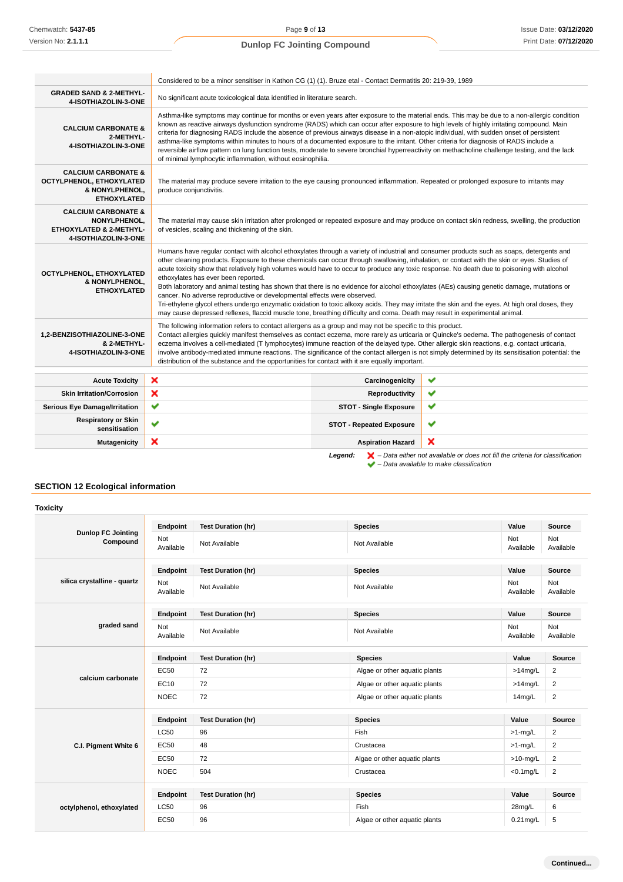|                                                                                                          | Considered to be a minor sensitiser in Kathon CG (1) (1). Bruze etal - Contact Dermatitis 20: 219-39, 1989                                                                                                                                                                                                                                                                                                                                                                                                                                                                                                                                                                                                                                                                                                                                                                                                                                                                            |                                 |                                                                                                    |
|----------------------------------------------------------------------------------------------------------|---------------------------------------------------------------------------------------------------------------------------------------------------------------------------------------------------------------------------------------------------------------------------------------------------------------------------------------------------------------------------------------------------------------------------------------------------------------------------------------------------------------------------------------------------------------------------------------------------------------------------------------------------------------------------------------------------------------------------------------------------------------------------------------------------------------------------------------------------------------------------------------------------------------------------------------------------------------------------------------|---------------------------------|----------------------------------------------------------------------------------------------------|
| <b>GRADED SAND &amp; 2-METHYL-</b><br>4-ISOTHIAZOLIN-3-ONE                                               | No significant acute toxicological data identified in literature search.                                                                                                                                                                                                                                                                                                                                                                                                                                                                                                                                                                                                                                                                                                                                                                                                                                                                                                              |                                 |                                                                                                    |
| <b>CALCIUM CARBONATE &amp;</b><br>2-METHYL-<br>4-ISOTHIAZOLIN-3-ONE                                      | Asthma-like symptoms may continue for months or even years after exposure to the material ends. This may be due to a non-allergic condition<br>known as reactive airways dysfunction syndrome (RADS) which can occur after exposure to high levels of highly irritating compound. Main<br>criteria for diagnosing RADS include the absence of previous airways disease in a non-atopic individual, with sudden onset of persistent<br>asthma-like symptoms within minutes to hours of a documented exposure to the irritant. Other criteria for diagnosis of RADS include a<br>reversible airflow pattern on lung function tests, moderate to severe bronchial hyperreactivity on methacholine challenge testing, and the lack<br>of minimal lymphocytic inflammation, without eosinophilia.                                                                                                                                                                                          |                                 |                                                                                                    |
| <b>CALCIUM CARBONATE &amp;</b><br>OCTYLPHENOL, ETHOXYLATED<br>& NONYLPHENOL,<br><b>ETHOXYLATED</b>       | The material may produce severe irritation to the eye causing pronounced inflammation. Repeated or prolonged exposure to irritants may<br>produce conjunctivitis.                                                                                                                                                                                                                                                                                                                                                                                                                                                                                                                                                                                                                                                                                                                                                                                                                     |                                 |                                                                                                    |
| <b>CALCIUM CARBONATE &amp;</b><br><b>NONYLPHENOL,</b><br>ETHOXYLATED & 2-METHYL-<br>4-ISOTHIAZOLIN-3-ONE | The material may cause skin irritation after prolonged or repeated exposure and may produce on contact skin redness, swelling, the production<br>of vesicles, scaling and thickening of the skin.                                                                                                                                                                                                                                                                                                                                                                                                                                                                                                                                                                                                                                                                                                                                                                                     |                                 |                                                                                                    |
| OCTYLPHENOL, ETHOXYLATED<br>& NONYLPHENOL,<br><b>ETHOXYLATED</b>                                         | Humans have regular contact with alcohol ethoxylates through a variety of industrial and consumer products such as soaps, detergents and<br>other cleaning products. Exposure to these chemicals can occur through swallowing, inhalation, or contact with the skin or eyes. Studies of<br>acute toxicity show that relatively high volumes would have to occur to produce any toxic response. No death due to poisoning with alcohol<br>ethoxylates has ever been reported.<br>Both laboratory and animal testing has shown that there is no evidence for alcohol ethoxylates (AEs) causing genetic damage, mutations or<br>cancer. No adverse reproductive or developmental effects were observed.<br>Tri-ethylene glycol ethers undergo enzymatic oxidation to toxic alkoxy acids. They may irritate the skin and the eyes. At high oral doses, they<br>may cause depressed reflexes, flaccid muscle tone, breathing difficulty and coma. Death may result in experimental animal. |                                 |                                                                                                    |
| 1,2-BENZISOTHIAZOLINE-3-ONE<br>& 2-METHYL-<br>4-ISOTHIAZOLIN-3-ONE                                       | The following information refers to contact allergens as a group and may not be specific to this product.<br>Contact allergies quickly manifest themselves as contact eczema, more rarely as urticaria or Quincke's oedema. The pathogenesis of contact<br>eczema involves a cell-mediated (T lymphocytes) immune reaction of the delayed type. Other allergic skin reactions, e.g. contact urticaria,<br>involve antibody-mediated immune reactions. The significance of the contact allergen is not simply determined by its sensitisation potential: the<br>distribution of the substance and the opportunities for contact with it are equally important.                                                                                                                                                                                                                                                                                                                         |                                 |                                                                                                    |
| <b>Acute Toxicity</b>                                                                                    | ×                                                                                                                                                                                                                                                                                                                                                                                                                                                                                                                                                                                                                                                                                                                                                                                                                                                                                                                                                                                     | Carcinogenicity                 | ✔                                                                                                  |
| <b>Skin Irritation/Corrosion</b>                                                                         | ×                                                                                                                                                                                                                                                                                                                                                                                                                                                                                                                                                                                                                                                                                                                                                                                                                                                                                                                                                                                     | Reproductivity                  | ✔                                                                                                  |
| <b>Serious Eye Damage/Irritation</b>                                                                     | ✔                                                                                                                                                                                                                                                                                                                                                                                                                                                                                                                                                                                                                                                                                                                                                                                                                                                                                                                                                                                     | <b>STOT - Single Exposure</b>   | ✔                                                                                                  |
| <b>Respiratory or Skin</b><br>sensitisation                                                              | $\checkmark$                                                                                                                                                                                                                                                                                                                                                                                                                                                                                                                                                                                                                                                                                                                                                                                                                                                                                                                                                                          | <b>STOT - Repeated Exposure</b> | ✔                                                                                                  |
| <b>Mutagenicity</b>                                                                                      | ×                                                                                                                                                                                                                                                                                                                                                                                                                                                                                                                                                                                                                                                                                                                                                                                                                                                                                                                                                                                     | <b>Aspiration Hazard</b>        | ×                                                                                                  |
|                                                                                                          |                                                                                                                                                                                                                                                                                                                                                                                                                                                                                                                                                                                                                                                                                                                                                                                                                                                                                                                                                                                       | Leaend:                         | $\blacktriangleright$ - Data either not available or does not fill the criteria for classification |

– Data available to make classification

## **SECTION 12 Ecological information**

|                                       | Endpoint                | <b>Test Duration (hr)</b> | <b>Species</b>                | Value            | <b>Source</b>           |
|---------------------------------------|-------------------------|---------------------------|-------------------------------|------------------|-------------------------|
| <b>Dunlop FC Jointing</b><br>Compound | <b>Not</b><br>Available | Not Available             | Not Available                 | Not<br>Available | Not<br>Available        |
|                                       | Endpoint                | <b>Test Duration (hr)</b> | <b>Species</b>                | Value            | Source                  |
| silica crystalline - quartz           | Not<br>Available        | Not Available             | Not Available                 | Not<br>Available | Not<br>Available        |
|                                       | Endpoint                | <b>Test Duration (hr)</b> | <b>Species</b>                | Value            | Source                  |
| graded sand                           | Not<br>Available        | Not Available             | Not Available                 | Not<br>Available | Not<br>Available        |
|                                       | Endpoint                | <b>Test Duration (hr)</b> | <b>Species</b>                | Value            | Source                  |
| calcium carbonate                     | EC50                    | 72                        | Algae or other aquatic plants | $>14$ mg/L       | $\overline{\mathbf{c}}$ |
|                                       | EC10                    | 72                        | Algae or other aquatic plants | $>14$ mg/L       | $\overline{2}$          |
|                                       | <b>NOEC</b>             | 72                        | Algae or other aquatic plants | 14mg/L           | $\overline{2}$          |
|                                       | Endpoint                | <b>Test Duration (hr)</b> | <b>Species</b>                | Value            | Source                  |
|                                       | <b>LC50</b>             | 96                        | Fish                          | $>1$ -mg/L       | $\overline{\mathbf{c}}$ |
| C.I. Pigment White 6                  | EC50                    | 48                        | Crustacea                     | $>1$ -mg/L       | 2                       |
|                                       | EC50                    | 72                        | Algae or other aquatic plants | $>10$ -mg/L      | $\overline{2}$          |
|                                       | <b>NOEC</b>             | 504                       | Crustacea                     | $<$ 0.1 $mg/L$   | $\overline{2}$          |
|                                       | Endpoint                | <b>Test Duration (hr)</b> | <b>Species</b>                | Value            | Source                  |
| octylphenol, ethoxylated              | <b>LC50</b>             | 96                        | Fish                          | 28mg/L           | 6                       |
|                                       | EC50                    | 96                        | Algae or other aquatic plants | $0.21$ mg/L      | 5                       |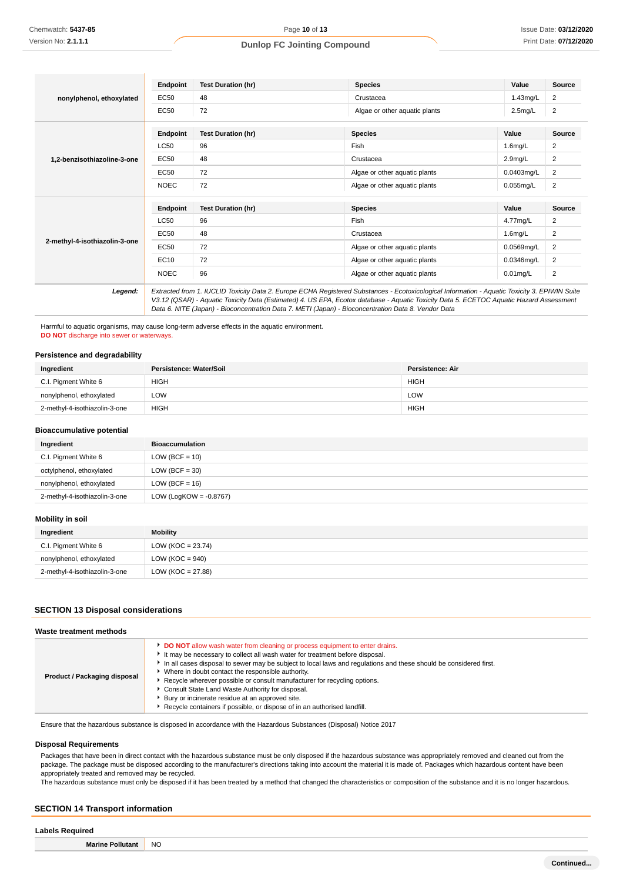|                                                                                                                                                                                                                                                                                                                                                                                                            | Endpoint    | <b>Test Duration (hr)</b> | <b>Species</b>                | Value               | Source         |
|------------------------------------------------------------------------------------------------------------------------------------------------------------------------------------------------------------------------------------------------------------------------------------------------------------------------------------------------------------------------------------------------------------|-------------|---------------------------|-------------------------------|---------------------|----------------|
| nonylphenol, ethoxylated                                                                                                                                                                                                                                                                                                                                                                                   | EC50        | 48                        | Crustacea                     | $1.43$ mg/L         | 2              |
|                                                                                                                                                                                                                                                                                                                                                                                                            | EC50        | 72                        | Algae or other aquatic plants | $2.5$ mg/L          | $\overline{2}$ |
|                                                                                                                                                                                                                                                                                                                                                                                                            | Endpoint    | <b>Test Duration (hr)</b> | <b>Species</b>                | Value               | <b>Source</b>  |
|                                                                                                                                                                                                                                                                                                                                                                                                            | <b>LC50</b> | 96                        | Fish                          | $1.6$ mg/L          | 2              |
| 1.2-benzisothiazoline-3-one                                                                                                                                                                                                                                                                                                                                                                                | EC50        | 48                        | Crustacea                     | 2.9 <sub>mg/L</sub> | 2              |
|                                                                                                                                                                                                                                                                                                                                                                                                            | EC50        | 72                        | Algae or other aquatic plants | $0.0403$ ma/L       | 2              |
|                                                                                                                                                                                                                                                                                                                                                                                                            | <b>NOEC</b> | 72                        | Algae or other aquatic plants | $0.055$ mg/L        | 2              |
|                                                                                                                                                                                                                                                                                                                                                                                                            | Endpoint    | <b>Test Duration (hr)</b> | <b>Species</b>                | Value               | Source         |
|                                                                                                                                                                                                                                                                                                                                                                                                            | <b>LC50</b> | 96                        | Fish                          | 4.77mg/L            | 2              |
|                                                                                                                                                                                                                                                                                                                                                                                                            | EC50        | 48                        | Crustacea                     | $1.6$ mg/L          | 2              |
| 2-methyl-4-isothiazolin-3-one                                                                                                                                                                                                                                                                                                                                                                              | <b>EC50</b> | 72                        | Algae or other aquatic plants | 0.0569mg/L          | 2              |
|                                                                                                                                                                                                                                                                                                                                                                                                            | EC10        | 72                        | Algae or other aquatic plants | 0.0346mg/L          | 2              |
|                                                                                                                                                                                                                                                                                                                                                                                                            | <b>NOEC</b> | 96                        | Algae or other aquatic plants | $0.01$ mg/L         | 2              |
| Extracted from 1. IUCLID Toxicity Data 2. Europe ECHA Registered Substances - Ecotoxicological Information - Aquatic Toxicity 3. EPIWIN Suite<br>Legend:<br>V3.12 (QSAR) - Aquatic Toxicity Data (Estimated) 4. US EPA, Ecotox database - Aquatic Toxicity Data 5. ECETOC Aquatic Hazard Assessment<br>Data 6. NITE (Japan) - Bioconcentration Data 7. METI (Japan) - Bioconcentration Data 8. Vendor Data |             |                           |                               |                     |                |

Harmful to aquatic organisms, may cause long-term adverse effects in the aquatic environment. **DO NOT** discharge into sewer or waterways.

#### **Persistence and degradability**

| Ingredient                    | Persistence: Water/Soil | Persistence: Air |
|-------------------------------|-------------------------|------------------|
| C.I. Pigment White 6          | <b>HIGH</b>             | <b>HIGH</b>      |
| nonylphenol, ethoxylated      | LOW                     | LOW              |
| 2-methyl-4-isothiazolin-3-one | <b>HIGH</b>             | <b>HIGH</b>      |

#### **Bioaccumulative potential**

| Ingredient                    | <b>Bioaccumulation</b>    |
|-------------------------------|---------------------------|
| C.I. Pigment White 6          | LOW (BCF = $10$ )         |
| octylphenol, ethoxylated      | LOW (BCF $=$ 30)          |
| nonylphenol, ethoxylated      | LOW (BCF = $16$ )         |
| 2-methyl-4-isothiazolin-3-one | LOW (LogKOW = $-0.8767$ ) |

#### **Mobility in soil**

| Ingredient                    | Mobility              |
|-------------------------------|-----------------------|
| C.I. Pigment White 6          | $LOW (KOC = 23.74)$   |
| nonylphenol, ethoxylated      | LOW ( $KOC = 940$ )   |
| 2-methyl-4-isothiazolin-3-one | LOW ( $KOC = 27.88$ ) |

#### **SECTION 13 Disposal considerations**

#### **Waste treatment methods**

| Product / Packaging disposal | <b>DO NOT</b> allow wash water from cleaning or process equipment to enter drains.<br>It may be necessary to collect all wash water for treatment before disposal.<br>In all cases disposal to sewer may be subject to local laws and regulations and these should be considered first.<br>Where in doubt contact the responsible authority.<br>Recycle wherever possible or consult manufacturer for recycling options.<br>▶ Consult State Land Waste Authority for disposal.<br>Bury or incinerate residue at an approved site.<br>Recycle containers if possible, or dispose of in an authorised landfill. |
|------------------------------|---------------------------------------------------------------------------------------------------------------------------------------------------------------------------------------------------------------------------------------------------------------------------------------------------------------------------------------------------------------------------------------------------------------------------------------------------------------------------------------------------------------------------------------------------------------------------------------------------------------|
|------------------------------|---------------------------------------------------------------------------------------------------------------------------------------------------------------------------------------------------------------------------------------------------------------------------------------------------------------------------------------------------------------------------------------------------------------------------------------------------------------------------------------------------------------------------------------------------------------------------------------------------------------|

Ensure that the hazardous substance is disposed in accordance with the Hazardous Substances (Disposal) Notice 2017

#### **Disposal Requirements**

Packages that have been in direct contact with the hazardous substance must be only disposed if the hazardous substance was appropriately removed and cleaned out from the package. The package must be disposed according to the manufacturer's directions taking into account the material it is made of. Packages which hazardous content have been appropriately treated and removed may be recycled.

The hazardous substance must only be disposed if it has been treated by a method that changed the characteristics or composition of the substance and it is no longer hazardous.

## **SECTION 14 Transport information**

#### **Labels Required**

**Marine Pollutant** NO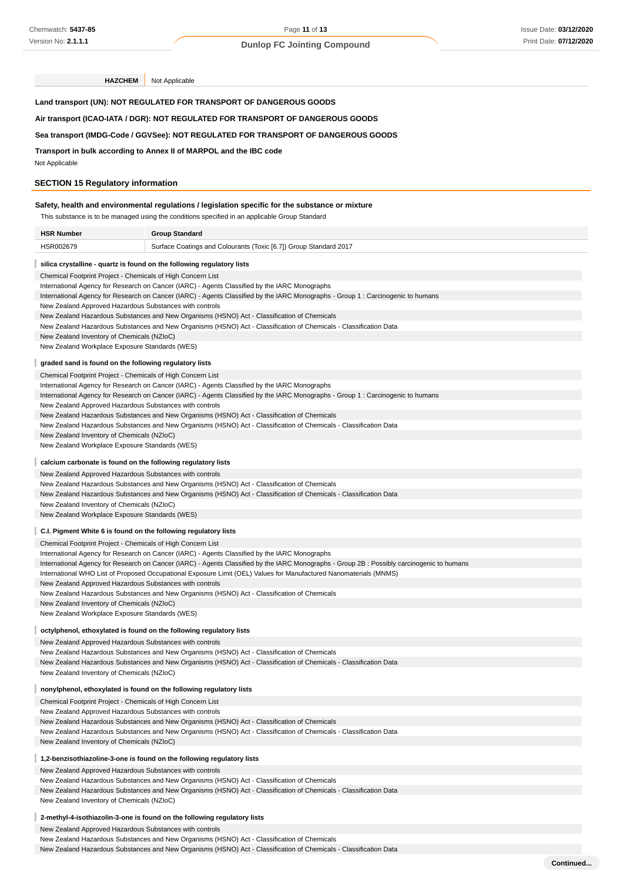**HAZCHEM** Not Applicable

| Land transport (UN): NOT REGULATED FOR TRANSPORT OF DANGEROUS GOODS |  |  |  |  |
|---------------------------------------------------------------------|--|--|--|--|
|                                                                     |  |  |  |  |

**Air transport (ICAO-IATA / DGR): NOT REGULATED FOR TRANSPORT OF DANGEROUS GOODS**

#### **Sea transport (IMDG-Code / GGVSee): NOT REGULATED FOR TRANSPORT OF DANGEROUS GOODS**

**Transport in bulk according to Annex II of MARPOL and the IBC code**

Not Applicable

## **SECTION 15 Regulatory information**

## **Safety, health and environmental regulations / legislation specific for the substance or mixture**

| This substance is to be managed using the conditions specified in an applicable Group Standard |                                                                                                                                                                                                                                                                |  |  |  |
|------------------------------------------------------------------------------------------------|----------------------------------------------------------------------------------------------------------------------------------------------------------------------------------------------------------------------------------------------------------------|--|--|--|
| <b>HSR Number</b>                                                                              | <b>Group Standard</b>                                                                                                                                                                                                                                          |  |  |  |
| HSR002679                                                                                      | Surface Coatings and Colourants (Toxic [6.7]) Group Standard 2017                                                                                                                                                                                              |  |  |  |
| silica crystalline - quartz is found on the following regulatory lists                         |                                                                                                                                                                                                                                                                |  |  |  |
| Chemical Footprint Project - Chemicals of High Concern List                                    |                                                                                                                                                                                                                                                                |  |  |  |
|                                                                                                | International Agency for Research on Cancer (IARC) - Agents Classified by the IARC Monographs                                                                                                                                                                  |  |  |  |
|                                                                                                | International Agency for Research on Cancer (IARC) - Agents Classified by the IARC Monographs - Group 1: Carcinogenic to humans                                                                                                                                |  |  |  |
| New Zealand Approved Hazardous Substances with controls                                        |                                                                                                                                                                                                                                                                |  |  |  |
|                                                                                                | New Zealand Hazardous Substances and New Organisms (HSNO) Act - Classification of Chemicals                                                                                                                                                                    |  |  |  |
|                                                                                                | New Zealand Hazardous Substances and New Organisms (HSNO) Act - Classification of Chemicals - Classification Data                                                                                                                                              |  |  |  |
|                                                                                                | New Zealand Inventory of Chemicals (NZIoC)                                                                                                                                                                                                                     |  |  |  |
| New Zealand Workplace Exposure Standards (WES)                                                 |                                                                                                                                                                                                                                                                |  |  |  |
| graded sand is found on the following regulatory lists                                         |                                                                                                                                                                                                                                                                |  |  |  |
| Chemical Footprint Project - Chemicals of High Concern List                                    |                                                                                                                                                                                                                                                                |  |  |  |
|                                                                                                | International Agency for Research on Cancer (IARC) - Agents Classified by the IARC Monographs                                                                                                                                                                  |  |  |  |
|                                                                                                | International Agency for Research on Cancer (IARC) - Agents Classified by the IARC Monographs - Group 1: Carcinogenic to humans                                                                                                                                |  |  |  |
| New Zealand Approved Hazardous Substances with controls                                        |                                                                                                                                                                                                                                                                |  |  |  |
|                                                                                                | New Zealand Hazardous Substances and New Organisms (HSNO) Act - Classification of Chemicals                                                                                                                                                                    |  |  |  |
|                                                                                                | New Zealand Hazardous Substances and New Organisms (HSNO) Act - Classification of Chemicals - Classification Data                                                                                                                                              |  |  |  |
| New Zealand Inventory of Chemicals (NZIoC)                                                     |                                                                                                                                                                                                                                                                |  |  |  |
| New Zealand Workplace Exposure Standards (WES)                                                 |                                                                                                                                                                                                                                                                |  |  |  |
| calcium carbonate is found on the following regulatory lists                                   |                                                                                                                                                                                                                                                                |  |  |  |
| New Zealand Approved Hazardous Substances with controls                                        |                                                                                                                                                                                                                                                                |  |  |  |
|                                                                                                | New Zealand Hazardous Substances and New Organisms (HSNO) Act - Classification of Chemicals                                                                                                                                                                    |  |  |  |
|                                                                                                | New Zealand Hazardous Substances and New Organisms (HSNO) Act - Classification of Chemicals - Classification Data                                                                                                                                              |  |  |  |
| New Zealand Inventory of Chemicals (NZIoC)                                                     |                                                                                                                                                                                                                                                                |  |  |  |
| New Zealand Workplace Exposure Standards (WES)                                                 |                                                                                                                                                                                                                                                                |  |  |  |
|                                                                                                |                                                                                                                                                                                                                                                                |  |  |  |
| C.I. Pigment White 6 is found on the following regulatory lists                                |                                                                                                                                                                                                                                                                |  |  |  |
| Chemical Footprint Project - Chemicals of High Concern List                                    |                                                                                                                                                                                                                                                                |  |  |  |
|                                                                                                | International Agency for Research on Cancer (IARC) - Agents Classified by the IARC Monographs                                                                                                                                                                  |  |  |  |
|                                                                                                | International Agency for Research on Cancer (IARC) - Agents Classified by the IARC Monographs - Group 2B: Possibly carcinogenic to humans<br>International WHO List of Proposed Occupational Exposure Limit (OEL) Values for Manufactured Nanomaterials (MNMS) |  |  |  |
| New Zealand Approved Hazardous Substances with controls                                        |                                                                                                                                                                                                                                                                |  |  |  |
|                                                                                                | New Zealand Hazardous Substances and New Organisms (HSNO) Act - Classification of Chemicals                                                                                                                                                                    |  |  |  |
| New Zealand Inventory of Chemicals (NZIoC)                                                     |                                                                                                                                                                                                                                                                |  |  |  |
| New Zealand Workplace Exposure Standards (WES)                                                 |                                                                                                                                                                                                                                                                |  |  |  |
| octylphenol, ethoxylated is found on the following regulatory lists                            |                                                                                                                                                                                                                                                                |  |  |  |
| New Zealand Approved Hazardous Substances with controls                                        |                                                                                                                                                                                                                                                                |  |  |  |
|                                                                                                | New Zealand Hazardous Substances and New Organisms (HSNO) Act - Classification of Chemicals                                                                                                                                                                    |  |  |  |
|                                                                                                | New Zealand Hazardous Substances and New Organisms (HSNO) Act - Classification of Chemicals - Classification Data                                                                                                                                              |  |  |  |
| New Zealand Inventory of Chemicals (NZIoC)                                                     |                                                                                                                                                                                                                                                                |  |  |  |
| nonylphenol, ethoxylated is found on the following regulatory lists                            |                                                                                                                                                                                                                                                                |  |  |  |
| Chemical Footprint Project - Chemicals of High Concern List                                    |                                                                                                                                                                                                                                                                |  |  |  |
| New Zealand Approved Hazardous Substances with controls                                        |                                                                                                                                                                                                                                                                |  |  |  |
|                                                                                                | New Zealand Hazardous Substances and New Organisms (HSNO) Act - Classification of Chemicals                                                                                                                                                                    |  |  |  |
|                                                                                                | New Zealand Hazardous Substances and New Organisms (HSNO) Act - Classification of Chemicals - Classification Data                                                                                                                                              |  |  |  |
| New Zealand Inventory of Chemicals (NZIoC)                                                     |                                                                                                                                                                                                                                                                |  |  |  |
| 1,2-benzisothiazoline-3-one is found on the following regulatory lists                         |                                                                                                                                                                                                                                                                |  |  |  |
| New Zealand Approved Hazardous Substances with controls                                        |                                                                                                                                                                                                                                                                |  |  |  |
|                                                                                                | New Zealand Hazardous Substances and New Organisms (HSNO) Act - Classification of Chemicals                                                                                                                                                                    |  |  |  |
|                                                                                                | New Zealand Hazardous Substances and New Organisms (HSNO) Act - Classification of Chemicals - Classification Data                                                                                                                                              |  |  |  |
| New Zealand Inventory of Chemicals (NZIoC)                                                     |                                                                                                                                                                                                                                                                |  |  |  |
|                                                                                                | 2-methyl-4-isothiazolin-3-one is found on the following regulatory lists                                                                                                                                                                                       |  |  |  |
| New Zealand Approved Hazardous Substances with controls                                        |                                                                                                                                                                                                                                                                |  |  |  |
|                                                                                                | New Zealand Hazardous Substances and New Organisms (HSNO) Act - Classification of Chemicals                                                                                                                                                                    |  |  |  |

New Zealand Hazardous Substances and New Organisms (HSNO) Act - Classification of Chemicals - Classification Data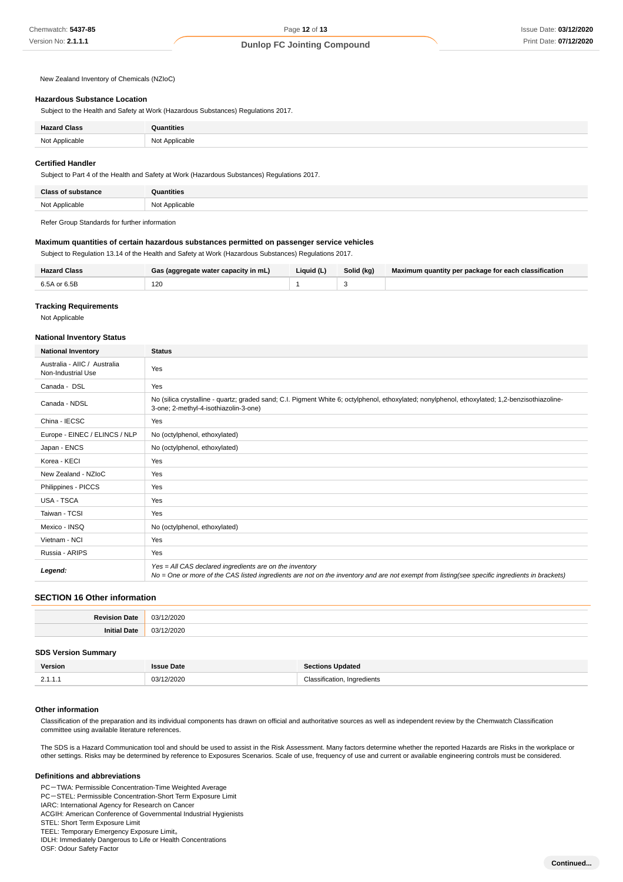New Zealand Inventory of Chemicals (NZIoC)

#### **Hazardous Substance Location**

Subject to the Health and Safety at Work (Hazardous Substances) Regulations 2017.

| 101 |  |
|-----|--|

#### **Certified Handler**

Subject to Part 4 of the Health and Safety at Work (Hazardous Substances) Regulations 2017.

Refer Group Standards for further information

#### **Maximum quantities of certain hazardous substances permitted on passenger service vehicles**

Subject to Regulation 13.14 of the Health and Safety at Work (Hazardous Substances) Regulations 2017.

| Hazard Class | Gas (aggregate water capacity in mL) | Liquid (L) | Solid (kg) | Maximum quantity per package for each classification |
|--------------|--------------------------------------|------------|------------|------------------------------------------------------|
| 6.5A or 6.5B | 120<br>$\sim$                        |            |            |                                                      |

#### **Tracking Requirements**

Not Applicable

#### **National Inventory Status**

| <b>National Inventory</b>                          | <b>Status</b>                                                                                                                                                                                            |
|----------------------------------------------------|----------------------------------------------------------------------------------------------------------------------------------------------------------------------------------------------------------|
| Australia - AIIC / Australia<br>Non-Industrial Use | Yes                                                                                                                                                                                                      |
| Canada - DSL                                       | Yes                                                                                                                                                                                                      |
| Canada - NDSL                                      | No (silica crystalline - quartz; graded sand; C.I. Pigment White 6; octylphenol, ethoxylated; nonylphenol, ethoxylated; 1,2-benzisothiazoline-<br>3-one; 2-methyl-4-isothiazolin-3-one)                  |
| China - IECSC                                      | Yes                                                                                                                                                                                                      |
| Europe - EINEC / ELINCS / NLP                      | No (octylphenol, ethoxylated)                                                                                                                                                                            |
| Japan - ENCS                                       | No (octylphenol, ethoxylated)                                                                                                                                                                            |
| Korea - KECI                                       | Yes                                                                                                                                                                                                      |
| New Zealand - NZIoC                                | Yes                                                                                                                                                                                                      |
| Philippines - PICCS                                | Yes                                                                                                                                                                                                      |
| USA - TSCA                                         | Yes                                                                                                                                                                                                      |
| Taiwan - TCSI                                      | Yes                                                                                                                                                                                                      |
| Mexico - INSQ                                      | No (octylphenol, ethoxylated)                                                                                                                                                                            |
| Vietnam - NCI                                      | Yes                                                                                                                                                                                                      |
| Russia - ARIPS                                     | Yes                                                                                                                                                                                                      |
| Legend:                                            | Yes = All CAS declared ingredients are on the inventory<br>No = One or more of the CAS listed ingredients are not on the inventory and are not exempt from listing(see specific ingredients in brackets) |

#### **SECTION 16 Other information**

| n?.<br>$\sim$ |
|---------------|
| nn.<br>$\sim$ |

#### **SDS Version Summary**

| Version            | Date<br><b>CCIIA</b> | <b>Sections Updated</b>             |
|--------------------|----------------------|-------------------------------------|
| $\sim$ $\sim$<br>. | 03/12/2020<br>.      | Classification.<br>Ingredients<br>. |

#### **Other information**

Classification of the preparation and its individual components has drawn on official and authoritative sources as well as independent review by the Chemwatch Classification committee using available literature references.

The SDS is a Hazard Communication tool and should be used to assist in the Risk Assessment. Many factors determine whether the reported Hazards are Risks in the workplace or other settings. Risks may be determined by reference to Exposures Scenarios. Scale of use, frequency of use and current or available engineering controls must be considered.

#### **Definitions and abbreviations**

PC-TWA: Permissible Concentration-Time Weighted Average PC-STEL: Permissible Concentration-Short Term Exposure Limit IARC: International Agency for Research on Cancer ACGIH: American Conference of Governmental Industrial Hygienists STEL: Short Term Exposure Limit TEEL: Temporary Emergency Exposure Limit。 IDLH: Immediately Dangerous to Life or Health Concentrations OSF: Odour Safety Factor